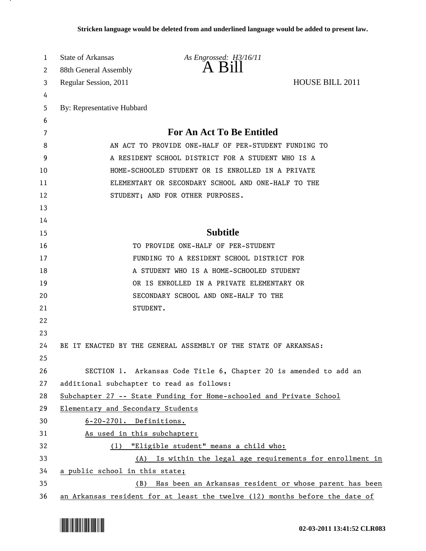| A Bill<br>88th General Assembly<br>2<br><b>HOUSE BILL 2011</b><br>Regular Session, 2011<br>3<br>4<br>By: Representative Hubbard<br>5<br>6<br><b>For An Act To Be Entitled</b><br>7<br>AN ACT TO PROVIDE ONE-HALF OF PER-STUDENT FUNDING TO<br>8<br>A RESIDENT SCHOOL DISTRICT FOR A STUDENT WHO IS A<br>9<br>HOME-SCHOOLED STUDENT OR IS ENROLLED IN A PRIVATE<br>ELEMENTARY OR SECONDARY SCHOOL AND ONE-HALF TO THE<br>STUDENT; AND FOR OTHER PURPOSES. |  |
|----------------------------------------------------------------------------------------------------------------------------------------------------------------------------------------------------------------------------------------------------------------------------------------------------------------------------------------------------------------------------------------------------------------------------------------------------------|--|
|                                                                                                                                                                                                                                                                                                                                                                                                                                                          |  |
|                                                                                                                                                                                                                                                                                                                                                                                                                                                          |  |
|                                                                                                                                                                                                                                                                                                                                                                                                                                                          |  |
|                                                                                                                                                                                                                                                                                                                                                                                                                                                          |  |
|                                                                                                                                                                                                                                                                                                                                                                                                                                                          |  |
| 10<br>11<br>12                                                                                                                                                                                                                                                                                                                                                                                                                                           |  |
|                                                                                                                                                                                                                                                                                                                                                                                                                                                          |  |
|                                                                                                                                                                                                                                                                                                                                                                                                                                                          |  |
|                                                                                                                                                                                                                                                                                                                                                                                                                                                          |  |
|                                                                                                                                                                                                                                                                                                                                                                                                                                                          |  |
| 13                                                                                                                                                                                                                                                                                                                                                                                                                                                       |  |
| 14                                                                                                                                                                                                                                                                                                                                                                                                                                                       |  |
| <b>Subtitle</b><br>15                                                                                                                                                                                                                                                                                                                                                                                                                                    |  |
| 16<br>TO PROVIDE ONE-HALF OF PER-STUDENT                                                                                                                                                                                                                                                                                                                                                                                                                 |  |
| 17<br>FUNDING TO A RESIDENT SCHOOL DISTRICT FOR                                                                                                                                                                                                                                                                                                                                                                                                          |  |
| 18<br>A STUDENT WHO IS A HOME-SCHOOLED STUDENT                                                                                                                                                                                                                                                                                                                                                                                                           |  |
| 19<br>OR IS ENROLLED IN A PRIVATE ELEMENTARY OR                                                                                                                                                                                                                                                                                                                                                                                                          |  |
| 20<br>SECONDARY SCHOOL AND ONE-HALF TO THE                                                                                                                                                                                                                                                                                                                                                                                                               |  |
| 21<br>STUDENT.                                                                                                                                                                                                                                                                                                                                                                                                                                           |  |
| 22                                                                                                                                                                                                                                                                                                                                                                                                                                                       |  |
| 23                                                                                                                                                                                                                                                                                                                                                                                                                                                       |  |
| 24<br>BE IT ENACTED BY THE GENERAL ASSEMBLY OF THE STATE OF ARKANSAS:                                                                                                                                                                                                                                                                                                                                                                                    |  |
| 25                                                                                                                                                                                                                                                                                                                                                                                                                                                       |  |
| 26<br>SECTION 1. Arkansas Code Title 6, Chapter 20 is amended to add an                                                                                                                                                                                                                                                                                                                                                                                  |  |
| 27<br>additional subchapter to read as follows:                                                                                                                                                                                                                                                                                                                                                                                                          |  |
| 28<br>Subchapter 27 -- State Funding for Home-schooled and Private School                                                                                                                                                                                                                                                                                                                                                                                |  |
| 29<br>Elementary and Secondary Students                                                                                                                                                                                                                                                                                                                                                                                                                  |  |
| 30<br>6-20-2701. Definitions.                                                                                                                                                                                                                                                                                                                                                                                                                            |  |
| 31<br>As used in this subchapter:                                                                                                                                                                                                                                                                                                                                                                                                                        |  |
| 32<br>"Eligible student" means a child who:<br>(1)                                                                                                                                                                                                                                                                                                                                                                                                       |  |
| 33<br>(A) Is within the legal age requirements for enrollment in                                                                                                                                                                                                                                                                                                                                                                                         |  |
| 34<br>a public school in this state;                                                                                                                                                                                                                                                                                                                                                                                                                     |  |
| 35<br>Has been an Arkansas resident or whose parent has been<br>(B)<br>36<br>an Arkansas resident for at least the twelve (12) months before the date of                                                                                                                                                                                                                                                                                                 |  |

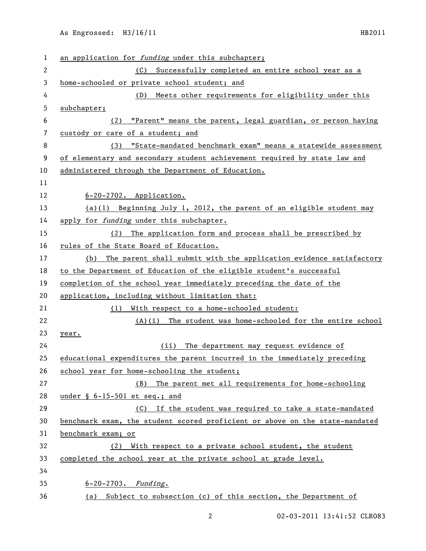| 1  | an application for funding under this subchapter;                            |
|----|------------------------------------------------------------------------------|
| 2  | (C)<br>Successfully completed an entire school year as a                     |
| 3  | home-schooled or private school student; and                                 |
| 4  | Meets other requirements for eligibility under this<br>(D)                   |
| 5  | subchapter;                                                                  |
| 6  | "Parent" means the parent, legal guardian, or person having<br>(2)           |
| 7  | custody or care of a student; and                                            |
| 8  | "State-mandated benchmark exam" means a statewide assessment<br>(3)          |
| 9  | of elementary and secondary student achievement required by state law and    |
| 10 | administered through the Department of Education.                            |
| 11 |                                                                              |
| 12 | $6-20-2702$ . Application.                                                   |
| 13 | (a)(1) Beginning July 1, 2012, the parent of an eligible student may         |
| 14 | apply for funding under this subchapter.                                     |
| 15 | The application form and process shall be prescribed by<br>(2)               |
| 16 | rules of the State Board of Education.                                       |
| 17 | The parent shall submit with the application evidence satisfactory<br>(b)    |
| 18 | to the Department of Education of the eligible student's successful          |
| 19 | completion of the school year immediately preceding the date of the          |
| 20 | application, including without limitation that:                              |
| 21 | With respect to a home-schooled student:<br>(1)                              |
| 22 | $(A)(i)$ The student was home-schooled for the entire school                 |
| 23 | year.                                                                        |
| 24 | The department may request evidence of<br>(ii)                               |
| 25 | educational expenditures the parent incurred in the immediately preceding    |
| 26 | school year for home-schooling the student;                                  |
| 27 | The parent met all requirements for home-schooling<br>(B)                    |
| 28 | under $\S$ 6-15-501 et seq.; and                                             |
| 29 | (C) If the student was required to take a state-mandated                     |
| 30 | benchmark exam, the student scored proficient or above on the state-mandated |
| 31 | benchmark exam; or                                                           |
| 32 | With respect to a private school student, the student<br>(2)                 |
| 33 | completed the school year at the private school at grade level.              |
| 34 |                                                                              |
| 35 | $6 - 20 - 2703$ . Funding.                                                   |
| 36 | (a) Subject to subsection (c) of this section, the Department of             |

02-03-2011 13:41:52 CLR083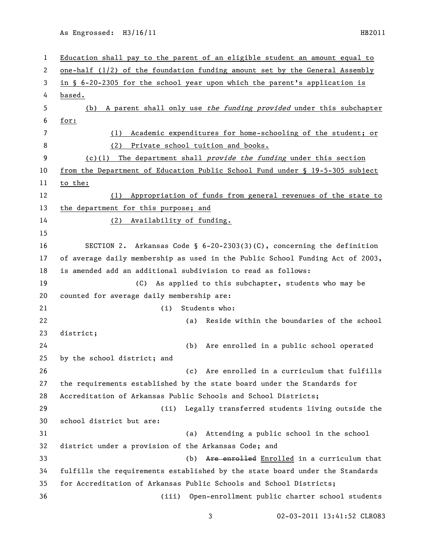As Engrossed: H3/16/11 HB2011

 Education shall pay to the parent of an eligible student an amount equal to one-half (1/2) of the foundation funding amount set by the General Assembly in § 6-20-2305 for the school year upon which the parent's application is based. 5 (b) A parent shall only use the funding provided under this subchapter for: (1) Academic expenditures for home-schooling of the student; or (2) Private school tuition and books. 9 (c)(1) The department shall *provide the funding* under this section from the Department of Education Public School Fund under § 19-5-305 subject to the: (1) Appropriation of funds from general revenues of the state to the department for this purpose; and (2) Availability of funding. SECTION 2. Arkansas Code § 6-20-2303(3)(C), concerning the definition of average daily membership as used in the Public School Funding Act of 2003, is amended add an additional subdivision to read as follows: (C) As applied to this subchapter, students who may be counted for average daily membership are: (i) Students who: (a) Reside within the boundaries of the school district; (b) Are enrolled in a public school operated by the school district; and (c) Are enrolled in a curriculum that fulfills the requirements established by the state board under the Standards for Accreditation of Arkansas Public Schools and School Districts; (ii) Legally transferred students living outside the school district but are: (a) Attending a public school in the school district under a provision of the Arkansas Code; and (b) Are enrolled Enrolled in a curriculum that fulfills the requirements established by the state board under the Standards for Accreditation of Arkansas Public Schools and School Districts; (iii) Open-enrollment public charter school students

02-03-2011 13:41:52 CLR083